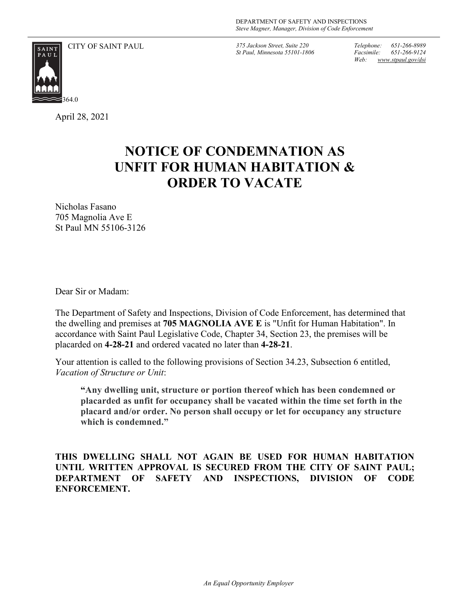

CITY OF SAINT PAUL *375 Jackson Street, Suite 220*

*St Paul, Minnesota 55101-1806*

*Telephone: 651-266-8989 Facsimile: 651-266-9124 Web: www.stpaul.gov/dsi*

April 28, 2021

## **NOTICE OF CONDEMNATION AS UNFIT FOR HUMAN HABITATION & ORDER TO VACATE**

Nicholas Fasano 705 Magnolia Ave E St Paul MN 55106-3126

Dear Sir or Madam:

The Department of Safety and Inspections, Division of Code Enforcement, has determined that the dwelling and premises at **705 MAGNOLIA AVE E** is "Unfit for Human Habitation". In accordance with Saint Paul Legislative Code, Chapter 34, Section 23, the premises will be placarded on **4-28-21** and ordered vacated no later than **4-28-21**.

Your attention is called to the following provisions of Section 34.23, Subsection 6 entitled, *Vacation of Structure or Unit*:

**"Any dwelling unit, structure or portion thereof which has been condemned or placarded as unfit for occupancy shall be vacated within the time set forth in the placard and/or order. No person shall occupy or let for occupancy any structure which is condemned."**

**THIS DWELLING SHALL NOT AGAIN BE USED FOR HUMAN HABITATION UNTIL WRITTEN APPROVAL IS SECURED FROM THE CITY OF SAINT PAUL; DEPARTMENT OF SAFETY AND INSPECTIONS, DIVISION OF CODE ENFORCEMENT.**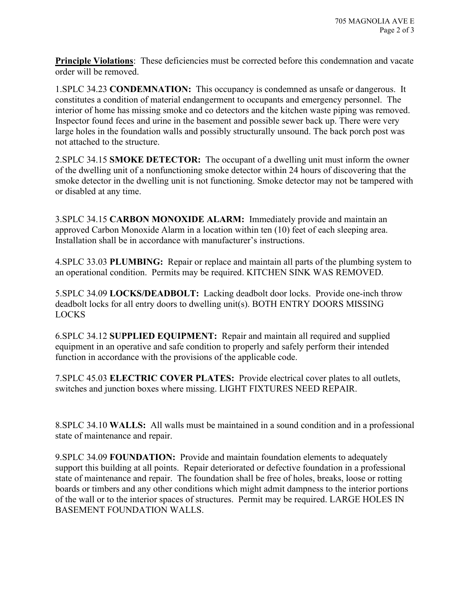**Principle Violations**: These deficiencies must be corrected before this condemnation and vacate order will be removed.

1.SPLC 34.23 **CONDEMNATION:** This occupancy is condemned as unsafe or dangerous. It constitutes a condition of material endangerment to occupants and emergency personnel. The interior of home has missing smoke and co detectors and the kitchen waste piping was removed. Inspector found feces and urine in the basement and possible sewer back up. There were very large holes in the foundation walls and possibly structurally unsound. The back porch post was not attached to the structure.

2.SPLC 34.15 **SMOKE DETECTOR:** The occupant of a dwelling unit must inform the owner of the dwelling unit of a nonfunctioning smoke detector within 24 hours of discovering that the smoke detector in the dwelling unit is not functioning. Smoke detector may not be tampered with or disabled at any time.

3.SPLC 34.15 **CARBON MONOXIDE ALARM:** Immediately provide and maintain an approved Carbon Monoxide Alarm in a location within ten (10) feet of each sleeping area. Installation shall be in accordance with manufacturer's instructions.

4.SPLC 33.03 **PLUMBING:** Repair or replace and maintain all parts of the plumbing system to an operational condition. Permits may be required. KITCHEN SINK WAS REMOVED.

5.SPLC 34.09 **LOCKS/DEADBOLT:** Lacking deadbolt door locks. Provide one-inch throw deadbolt locks for all entry doors to dwelling unit(s). BOTH ENTRY DOORS MISSING LOCKS

6.SPLC 34.12 **SUPPLIED EQUIPMENT:** Repair and maintain all required and supplied equipment in an operative and safe condition to properly and safely perform their intended function in accordance with the provisions of the applicable code.

7.SPLC 45.03 **ELECTRIC COVER PLATES:** Provide electrical cover plates to all outlets, switches and junction boxes where missing. LIGHT FIXTURES NEED REPAIR.

8.SPLC 34.10 **WALLS:** All walls must be maintained in a sound condition and in a professional state of maintenance and repair.

9.SPLC 34.09 **FOUNDATION:** Provide and maintain foundation elements to adequately support this building at all points. Repair deteriorated or defective foundation in a professional state of maintenance and repair. The foundation shall be free of holes, breaks, loose or rotting boards or timbers and any other conditions which might admit dampness to the interior portions of the wall or to the interior spaces of structures. Permit may be required. LARGE HOLES IN BASEMENT FOUNDATION WALLS.